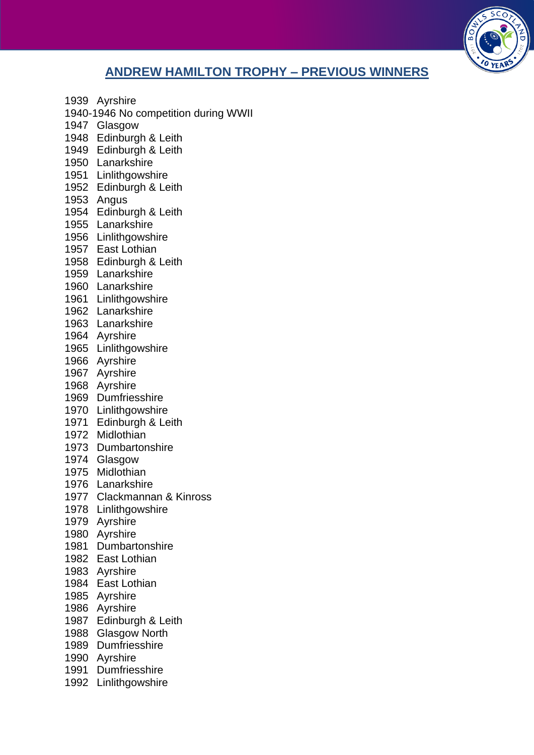

## **ANDREW HAMILTON TROPHY – PREVIOUS WINNERS**

- Ayrshire
- 1940-1946 No competition during WWII
- Glasgow
- Edinburgh & Leith
- Edinburgh & Leith
- Lanarkshire
- Linlithgowshire
- Edinburgh & Leith
- Angus
- Edinburgh & Leith
- Lanarkshire
- Linlithgowshire
- East Lothian
- Edinburgh & Leith
- Lanarkshire
- Lanarkshire
- Linlithgowshire
- Lanarkshire
- Lanarkshire
- Ayrshire
- Linlithgowshire
- Ayrshire
- Ayrshire
- Ayrshire
- Dumfriesshire
- Linlithgowshire
- Edinburgh & Leith
- Midlothian
- Dumbartonshire
- Glasgow
- Midlothian
- Lanarkshire
- Clackmannan & Kinross
- Linlithgowshire
- Ayrshire
- Ayrshire
- Dumbartonshire
- East Lothian
- Ayrshire
- East Lothian
- Ayrshire
- Ayrshire
- Edinburgh & Leith
- Glasgow North
- Dumfriesshire
- Ayrshire
- Dumfriesshire
- Linlithgowshire